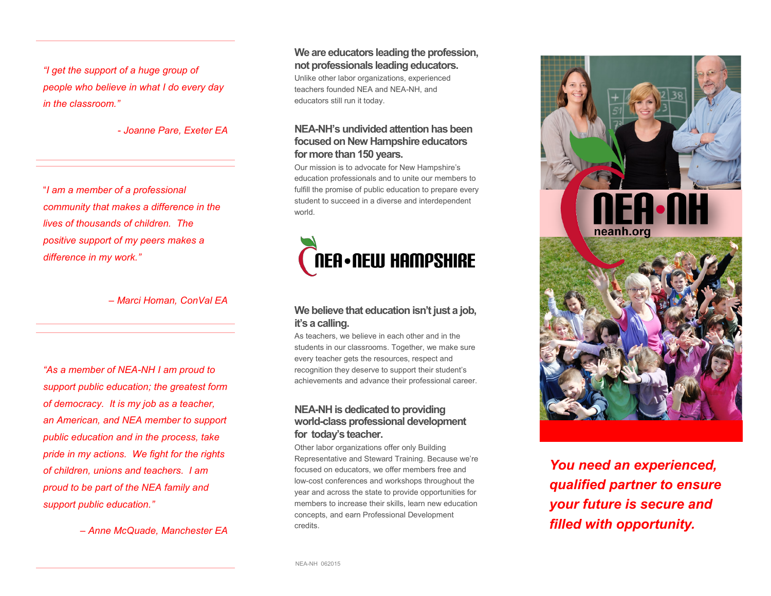*"I get the support of a huge group of people who believe in what I do every day in the classroom."*

*- Joanne Pare, Exeter EA* 

"*I am a member of a professional community that makes a difference in the lives of thousands of children. The positive support of my peers makes a difference in my work."* 

*– Marci Homan, ConVal EA*

*"As a member of NEA-NH I am proud to support public education; the greatest form of democracy. It is my job as a teacher, an American, and NEA member to support public education and in the process, take pride in my actions. We fight for the rights of children, unions and teachers. I am proud to be part of the NEA family and support public education."* 

*– Anne McQuade, Manchester EA*

**We are educators leading the profession, not professionals leading educators.** 

Unlike other labor organizations, experienced teachers founded NEA and NEA-NH, and educators still run it today.

#### **NEA-NH's undivided attention has been focused on New Hampshire educators for more than 150 years.**

Our mission is to advocate for New Hampshire's education professionals and to unite our members to fulfill the promise of public education to prepare every student to succeed in a diverse and interdependent world.



#### **We believe that education isn't just a job, it's a calling.**

As teachers, we believe in each other and in the students in our classrooms. Together, we make sure every teacher gets the resources, respect and recognition they deserve to support their student's achievements and advance their professional career.

#### **NEA-NH is dedicated to providing world-class professional development for today's teacher.**

Other labor organizations offer only Building Representative and Steward Training. Because we're focused on educators, we offer members free and low-cost conferences and workshops throughout the year and across the state to provide opportunities for members to increase their skills, learn new education concepts, and earn Professional Development credits.



*You need an experienced, qualified partner to ensure your future is secure and filled with opportunity.*